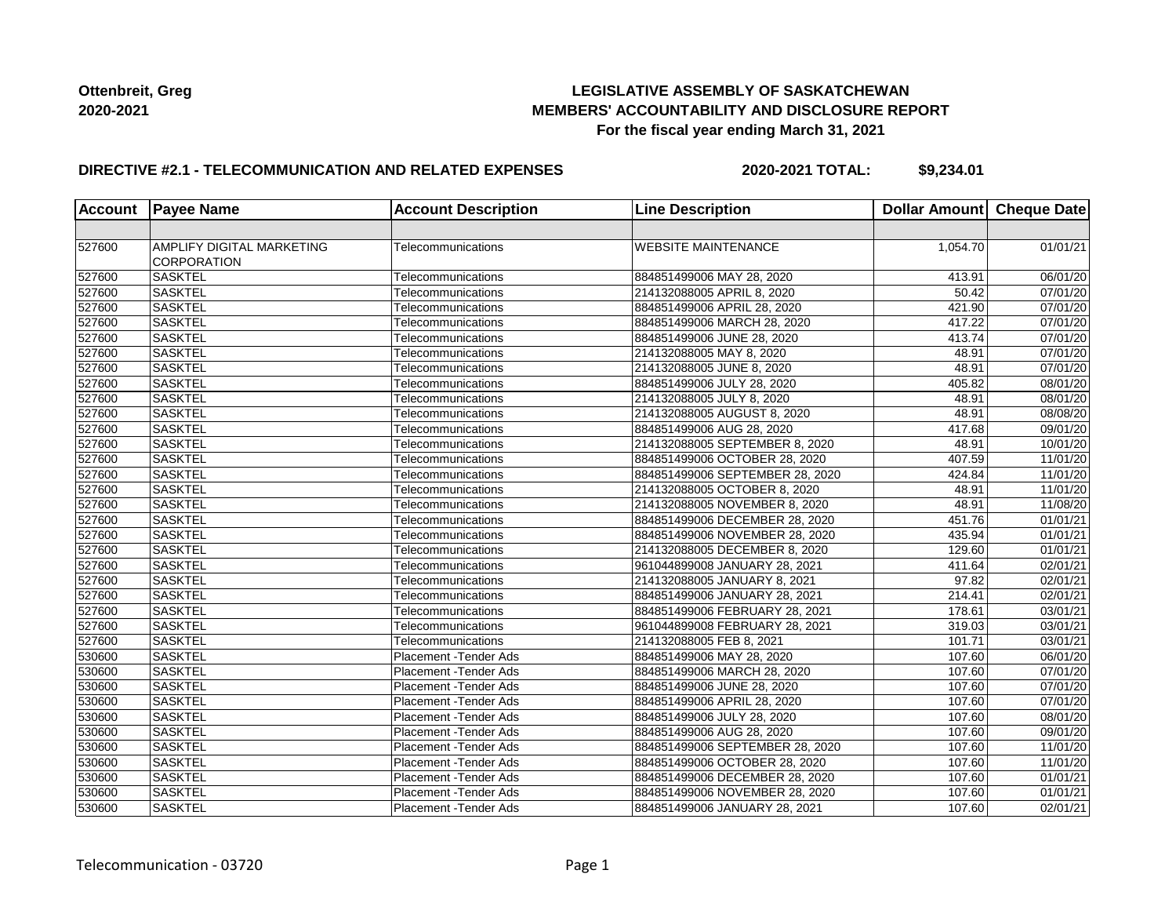## **LEGISLATIVE ASSEMBLY OF SASKATCHEWAN MEMBERS' ACCOUNTABILITY AND DISCLOSURE REPORT For the fiscal year ending March 31, 2021**

### **DIRECTIVE #2.1 - TELECOMMUNICATION AND RELATED EXPENSES**

**2020-2021 TOTAL: \$9,234.01**

|        | <b>Account Payee Name</b>                              | <b>Account Description</b>    | <b>Line Description</b>         | Dollar Amount   Cheque Date |                       |
|--------|--------------------------------------------------------|-------------------------------|---------------------------------|-----------------------------|-----------------------|
|        |                                                        |                               |                                 |                             |                       |
| 527600 | <b>AMPLIFY DIGITAL MARKETING</b><br><b>CORPORATION</b> | Telecommunications            | <b>WEBSITE MAINTENANCE</b>      | 1,054.70                    | 01/01/21              |
| 527600 | <b>SASKTEL</b>                                         | Telecommunications            | 884851499006 MAY 28, 2020       | 413.91                      | 06/01/20              |
| 527600 | SASKTEL                                                | Telecommunications            | 214132088005 APRIL 8, 2020      | 50.42                       | 07/01/20              |
| 527600 | <b>SASKTEL</b>                                         | Telecommunications            | 884851499006 APRIL 28, 2020     | 421.90                      | 07/01/20              |
| 527600 | <b>SASKTEL</b>                                         | Telecommunications            | 884851499006 MARCH 28, 2020     | 417.22                      | 07/01/20              |
| 527600 | SASKTEL                                                | Telecommunications            | 884851499006 JUNE 28, 2020      | 413.74                      | 07/01/20              |
| 527600 | <b>SASKTEL</b>                                         | Telecommunications            | 214132088005 MAY 8, 2020        | 48.91                       | $\overline{07}/01/20$ |
| 527600 | <b>SASKTEL</b>                                         | Telecommunications            | 214132088005 JUNE 8, 2020       | 48.91                       | 07/01/20              |
| 527600 | SASKTEL                                                | Telecommunications            | 884851499006 JULY 28, 2020      | 405.82                      | 08/01/20              |
| 527600 | <b>SASKTEL</b>                                         | Telecommunications            | 214132088005 JULY 8, 2020       | 48.91                       | 08/01/20              |
| 527600 | <b>SASKTEL</b>                                         | Telecommunications            | 214132088005 AUGUST 8, 2020     | 48.91                       | $\overline{08}/08/20$ |
| 527600 | SASKTEL                                                | Telecommunications            | 884851499006 AUG 28, 2020       | 417.68                      | 09/01/20              |
| 527600 | <b>SASKTEL</b>                                         | Telecommunications            | 214132088005 SEPTEMBER 8, 2020  | 48.91                       | 10/01/20              |
| 527600 | <b>SASKTEL</b>                                         | Telecommunications            | 884851499006 OCTOBER 28, 2020   | 407.59                      | 11/01/20              |
| 527600 | <b>SASKTEL</b>                                         | Telecommunications            | 884851499006 SEPTEMBER 28, 2020 | 424.84                      | 11/01/20              |
| 527600 | <b>SASKTEL</b>                                         | Telecommunications            | 214132088005 OCTOBER 8, 2020    | 48.91                       | 11/01/20              |
| 527600 | <b>SASKTEL</b>                                         | Telecommunications            | 214132088005 NOVEMBER 8, 2020   | 48.91                       | 11/08/20              |
| 527600 | <b>SASKTEL</b>                                         | Telecommunications            | 884851499006 DECEMBER 28, 2020  | 451.76                      | 01/01/21              |
| 527600 | <b>SASKTEL</b>                                         | Telecommunications            | 884851499006 NOVEMBER 28, 2020  | 435.94                      | 01/01/21              |
| 527600 | <b>SASKTEL</b>                                         | Telecommunications            | 214132088005 DECEMBER 8, 2020   | 129.60                      | 01/01/21              |
| 527600 | SASKTEL                                                | Telecommunications            | 961044899008 JANUARY 28, 2021   | 411.64                      | 02/01/21              |
| 527600 | <b>SASKTEL</b>                                         | Telecommunications            | 214132088005 JANUARY 8, 2021    | 97.82                       | $\overline{02}/01/21$ |
| 527600 | <b>SASKTEL</b>                                         | Telecommunications            | 884851499006 JANUARY 28, 2021   | 214.41                      | 02/01/21              |
| 527600 | SASKTEL                                                | Telecommunications            | 884851499006 FEBRUARY 28, 2021  | 178.61                      | $\overline{0}3/01/21$ |
| 527600 | <b>SASKTEL</b>                                         | Telecommunications            | 961044899008 FEBRUARY 28, 2021  | 319.03                      | 03/01/21              |
| 527600 | <b>SASKTEL</b>                                         | Telecommunications            | 214132088005 FEB 8, 2021        | 101.71                      | 03/01/21              |
| 530600 | <b>SASKTEL</b>                                         | Placement - Tender Ads        | 884851499006 MAY 28, 2020       | 107.60                      | 06/01/20              |
| 530600 | SASKTEL                                                | Placement - Tender Ads        | 884851499006 MARCH 28, 2020     | 107.60                      | 07/01/20              |
| 530600 | <b>SASKTEL</b>                                         | Placement - Tender Ads        | 884851499006 JUNE 28, 2020      | 107.60                      | 07/01/20              |
| 530600 | SASKTEL                                                | Placement - Tender Ads        | 884851499006 APRIL 28, 2020     | 107.60                      | 07/01/20              |
| 530600 | <b>SASKTEL</b>                                         | Placement - Tender Ads        | 884851499006 JULY 28, 2020      | 107.60                      | 08/01/20              |
| 530600 | <b>SASKTEL</b>                                         | Placement - Tender Ads        | 884851499006 AUG 28, 2020       | 107.60                      | 09/01/20              |
| 530600 | <b>SASKTEL</b>                                         | Placement - Tender Ads        | 884851499006 SEPTEMBER 28, 2020 | 107.60                      | 11/01/20              |
| 530600 | <b>SASKTEL</b>                                         | Placement - Tender Ads        | 884851499006 OCTOBER 28, 2020   | 107.60                      | 11/01/20              |
| 530600 | <b>SASKTEL</b>                                         | <b>Placement - Tender Ads</b> | 884851499006 DECEMBER 28, 2020  | 107.60                      | $\overline{01}/01/21$ |
| 530600 | SASKTEL                                                | Placement - Tender Ads        | 884851499006 NOVEMBER 28, 2020  | 107.60                      | 01/01/21              |
| 530600 | <b>SASKTEL</b>                                         | Placement - Tender Ads        | 884851499006 JANUARY 28, 2021   | 107.60                      | 02/01/21              |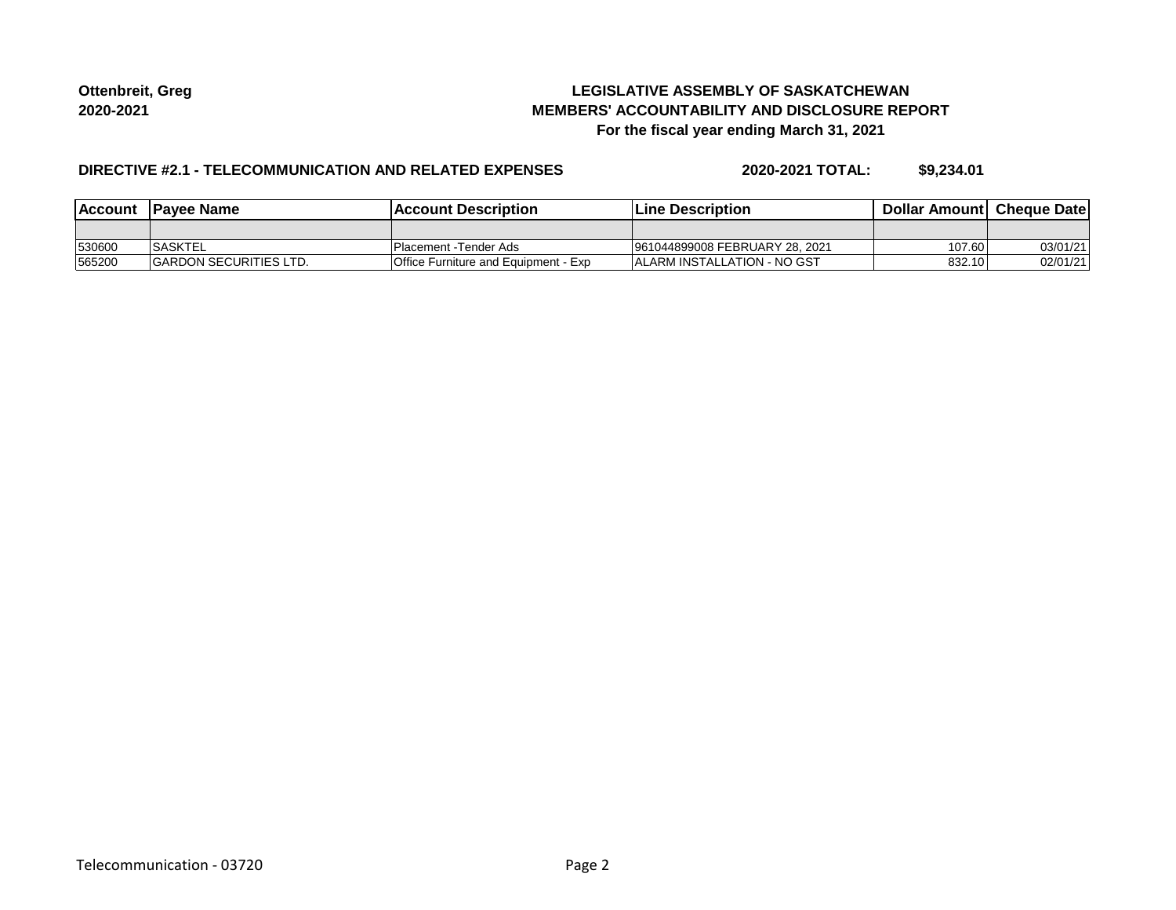## **LEGISLATIVE ASSEMBLY OF SASKATCHEWAN MEMBERS' ACCOUNTABILITY AND DISCLOSURE REPORT For the fiscal year ending March 31, 2021**

### **DIRECTIVE #2.1 - TELECOMMUNICATION AND RELATED EXPENSES**

**2020-2021 TOTAL: \$9,234.01**

| <b>Account</b> | <b>IPavee Name</b>            | lAccount Description                 | <b>Line Description</b>             | <b>Dollar Amountl Cheque Date</b> |          |
|----------------|-------------------------------|--------------------------------------|-------------------------------------|-----------------------------------|----------|
|                |                               |                                      |                                     |                                   |          |
| 530600         | <b>SASKTEL</b>                | IPlacement -Tender Ads               | 961044899008 FEBRUARY 28, 2021      | 107.60                            | 03/01/21 |
| 565200         | <b>GARDON SECURITIES LTD.</b> | Office Furniture and Equipment - Exp | <b>IALARM INSTALLATION - NO GST</b> | 832.10                            | 02/01/21 |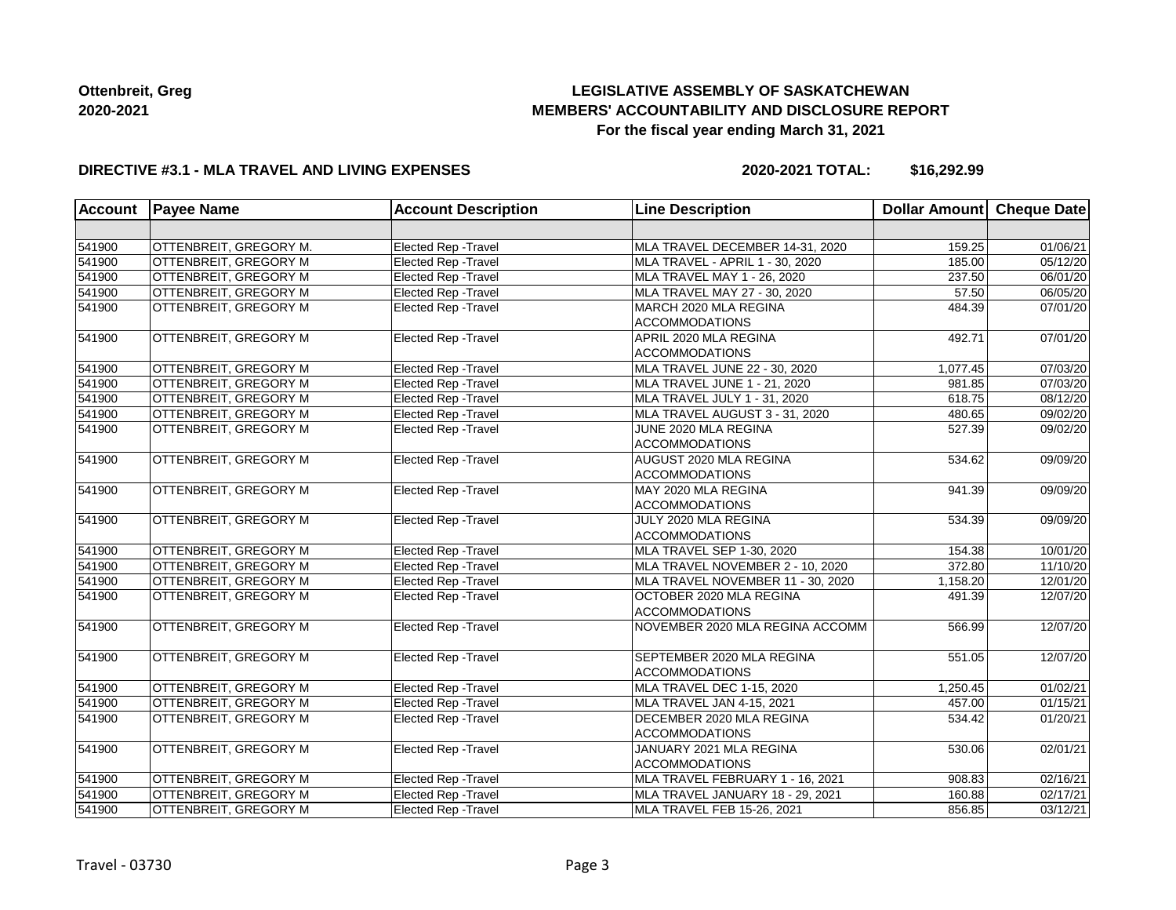# **LEGISLATIVE ASSEMBLY OF SASKATCHEWAN MEMBERS' ACCOUNTABILITY AND DISCLOSURE REPORT For the fiscal year ending March 31, 2021**

### **DIRECTIVE #3.1 - MLA TRAVEL AND LIVING EXPENSES**

**2020-2021 TOTAL: \$16,292.99**

| <b>Account</b> | <b>Payee Name</b>            | <b>Account Description</b>  | <b>Line Description</b>           | <b>Dollar Amount</b> | Cheque Date |
|----------------|------------------------------|-----------------------------|-----------------------------------|----------------------|-------------|
|                |                              |                             |                                   |                      |             |
| 541900         | OTTENBREIT, GREGORY M.       | Elected Rep - Travel        | MLA TRAVEL DECEMBER 14-31, 2020   | 159.25               | 01/06/21    |
| 541900         | OTTENBREIT, GREGORY M        | Elected Rep - Travel        | MLA TRAVEL - APRIL 1 - 30, 2020   | 185.00               | 05/12/20    |
| 541900         | OTTENBREIT, GREGORY M        | <b>Elected Rep - Travel</b> | MLA TRAVEL MAY 1 - 26, 2020       | 237.50               | 06/01/20    |
| 541900         | OTTENBREIT, GREGORY M        | Elected Rep - Travel        | MLA TRAVEL MAY 27 - 30, 2020      | 57.50                | 06/05/20    |
| 541900         | OTTENBREIT, GREGORY M        | Elected Rep - Travel        | MARCH 2020 MLA REGINA             | 484.39               | 07/01/20    |
|                |                              |                             | <b>ACCOMMODATIONS</b>             |                      |             |
| 541900         | OTTENBREIT, GREGORY M        | Elected Rep - Travel        | APRIL 2020 MLA REGINA             | 492.71               | 07/01/20    |
|                |                              |                             | <b>ACCOMMODATIONS</b>             |                      |             |
| 541900         | OTTENBREIT, GREGORY M        | <b>Elected Rep - Travel</b> | MLA TRAVEL JUNE 22 - 30, 2020     | 1,077.45             | 07/03/20    |
| 541900         | OTTENBREIT, GREGORY M        | Elected Rep - Travel        | MLA TRAVEL JUNE 1 - 21, 2020      | 981.85               | 07/03/20    |
| 541900         | OTTENBREIT, GREGORY M        | Elected Rep - Travel        | MLA TRAVEL JULY 1 - 31, 2020      | 618.75               | 08/12/20    |
| 541900         | OTTENBREIT, GREGORY M        | Elected Rep - Travel        | MLA TRAVEL AUGUST 3 - 31, 2020    | 480.65               | 09/02/20    |
| 541900         | OTTENBREIT, GREGORY M        | Elected Rep - Travel        | JUNE 2020 MLA REGINA              | 527.39               | 09/02/20    |
|                |                              |                             | <b>ACCOMMODATIONS</b>             |                      |             |
| 541900         | OTTENBREIT, GREGORY M        | Elected Rep - Travel        | AUGUST 2020 MLA REGINA            | 534.62               | 09/09/20    |
|                |                              |                             | <b>ACCOMMODATIONS</b>             |                      |             |
| 541900         | OTTENBREIT, GREGORY M        | Elected Rep - Travel        | MAY 2020 MLA REGINA               | 941.39               | 09/09/20    |
|                |                              |                             | <b>ACCOMMODATIONS</b>             |                      |             |
| 541900         | OTTENBREIT, GREGORY M        | Elected Rep - Travel        | JULY 2020 MLA REGINA              | 534.39               | 09/09/20    |
|                |                              |                             | <b>ACCOMMODATIONS</b>             |                      |             |
| 541900         | OTTENBREIT, GREGORY M        | Elected Rep - Travel        | MLA TRAVEL SEP 1-30, 2020         | 154.38               | 10/01/20    |
| 541900         | <b>OTTENBREIT, GREGORY M</b> | Elected Rep - Travel        | MLA TRAVEL NOVEMBER 2 - 10, 2020  | 372.80               | 11/10/20    |
| 541900         | OTTENBREIT, GREGORY M        | Elected Rep - Travel        | MLA TRAVEL NOVEMBER 11 - 30, 2020 | 1,158.20             | 12/01/20    |
| 541900         | OTTENBREIT, GREGORY M        | Elected Rep - Travel        | OCTOBER 2020 MLA REGINA           | 491.39               | 12/07/20    |
|                |                              |                             | <b>ACCOMMODATIONS</b>             |                      |             |
| 541900         | OTTENBREIT, GREGORY M        | Elected Rep - Travel        | NOVEMBER 2020 MLA REGINA ACCOMM   | 566.99               | 12/07/20    |
| 541900         | OTTENBREIT, GREGORY M        | Elected Rep - Travel        | SEPTEMBER 2020 MLA REGINA         | 551.05               | 12/07/20    |
|                |                              |                             | <b>ACCOMMODATIONS</b>             |                      |             |
| 541900         | OTTENBREIT, GREGORY M        | Elected Rep - Travel        | MLA TRAVEL DEC 1-15, 2020         | 1,250.45             | 01/02/21    |
| 541900         | OTTENBREIT, GREGORY M        | Elected Rep - Travel        | MLA TRAVEL JAN 4-15, 2021         | 457.00               | 01/15/21    |
| 541900         | OTTENBREIT, GREGORY M        | Elected Rep - Travel        | DECEMBER 2020 MLA REGINA          | 534.42               | 01/20/21    |
|                |                              |                             | <b>ACCOMMODATIONS</b>             |                      |             |
| 541900         | OTTENBREIT, GREGORY M        | Elected Rep - Travel        | JANUARY 2021 MLA REGINA           | 530.06               | 02/01/21    |
|                |                              |                             | <b>ACCOMMODATIONS</b>             |                      |             |
| 541900         | OTTENBREIT, GREGORY M        | Elected Rep - Travel        | MLA TRAVEL FEBRUARY 1 - 16, 2021  | 908.83               | 02/16/21    |
| 541900         | OTTENBREIT, GREGORY M        | Elected Rep - Travel        | MLA TRAVEL JANUARY 18 - 29, 2021  | 160.88               | 02/17/21    |
| 541900         | OTTENBREIT, GREGORY M        | <b>Elected Rep - Travel</b> | MLA TRAVEL FEB 15-26, 2021        | 856.85               | 03/12/21    |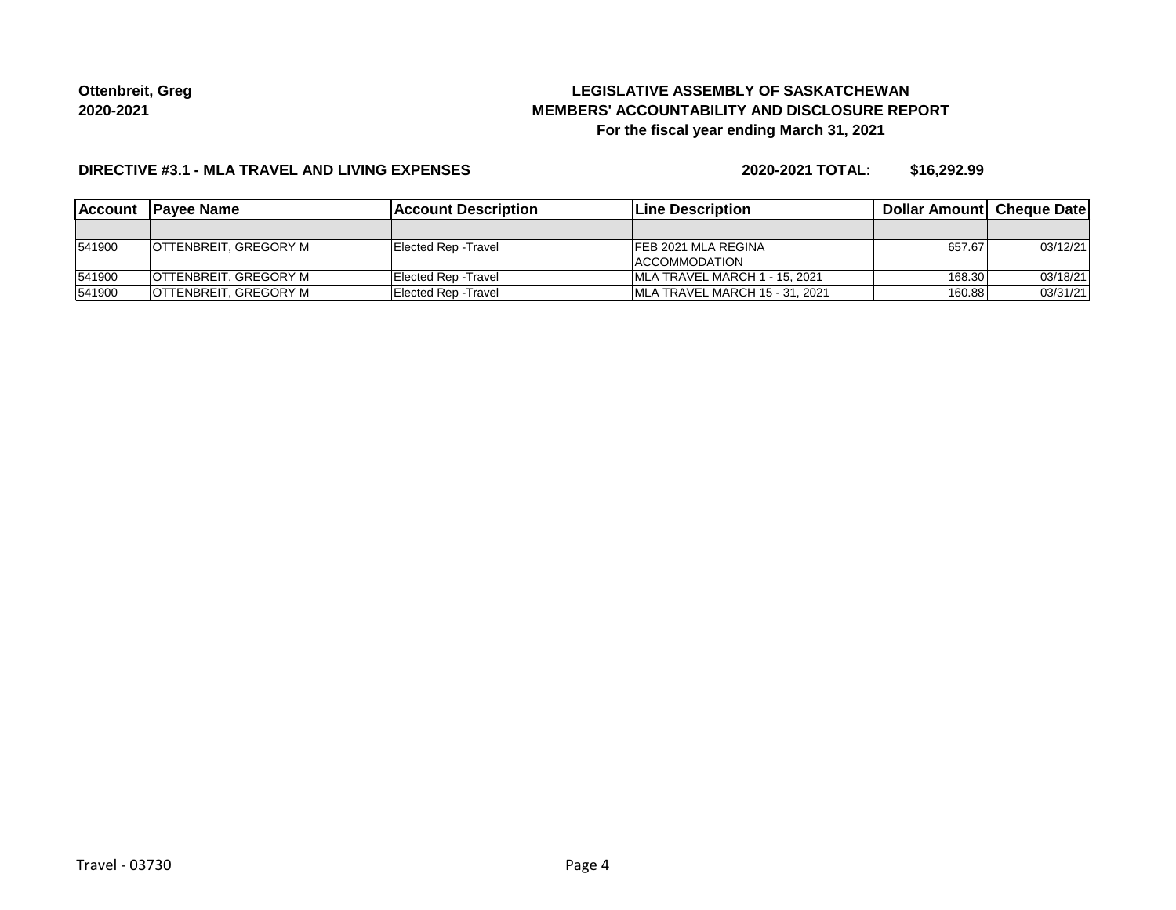# **LEGISLATIVE ASSEMBLY OF SASKATCHEWAN MEMBERS' ACCOUNTABILITY AND DISCLOSURE REPORT For the fiscal year ending March 31, 2021**

### **DIRECTIVE #3.1 - MLA TRAVEL AND LIVING EXPENSES**

**2020-2021 TOTAL: \$16,292.99**

| <b>IAccount</b> | <b>IPavee Name</b>           | <b>IAccount Description</b> | <b>ILine Description</b>       | <b>Dollar Amountl Cheque Date</b> |          |
|-----------------|------------------------------|-----------------------------|--------------------------------|-----------------------------------|----------|
|                 |                              |                             |                                |                                   |          |
| 541900          | <b>OTTENBREIT, GREGORY M</b> | Elected Rep - Travel        | IFEB 2021 MLA REGINA           | 657.67                            | 03/12/21 |
|                 |                              |                             | ACCOMMODATION                  |                                   |          |
| 541900          | <b>OTTENBREIT, GREGORY M</b> | Elected Rep - Travel        | IMLA TRAVEL MARCH 1 - 15, 2021 | 168.30                            | 03/18/21 |
| 541900          | OTTENBREIT, GREGORY M        | Elected Rep - Travel        | MLA TRAVEL MARCH 15 - 31, 2021 | 160.88                            | 03/31/21 |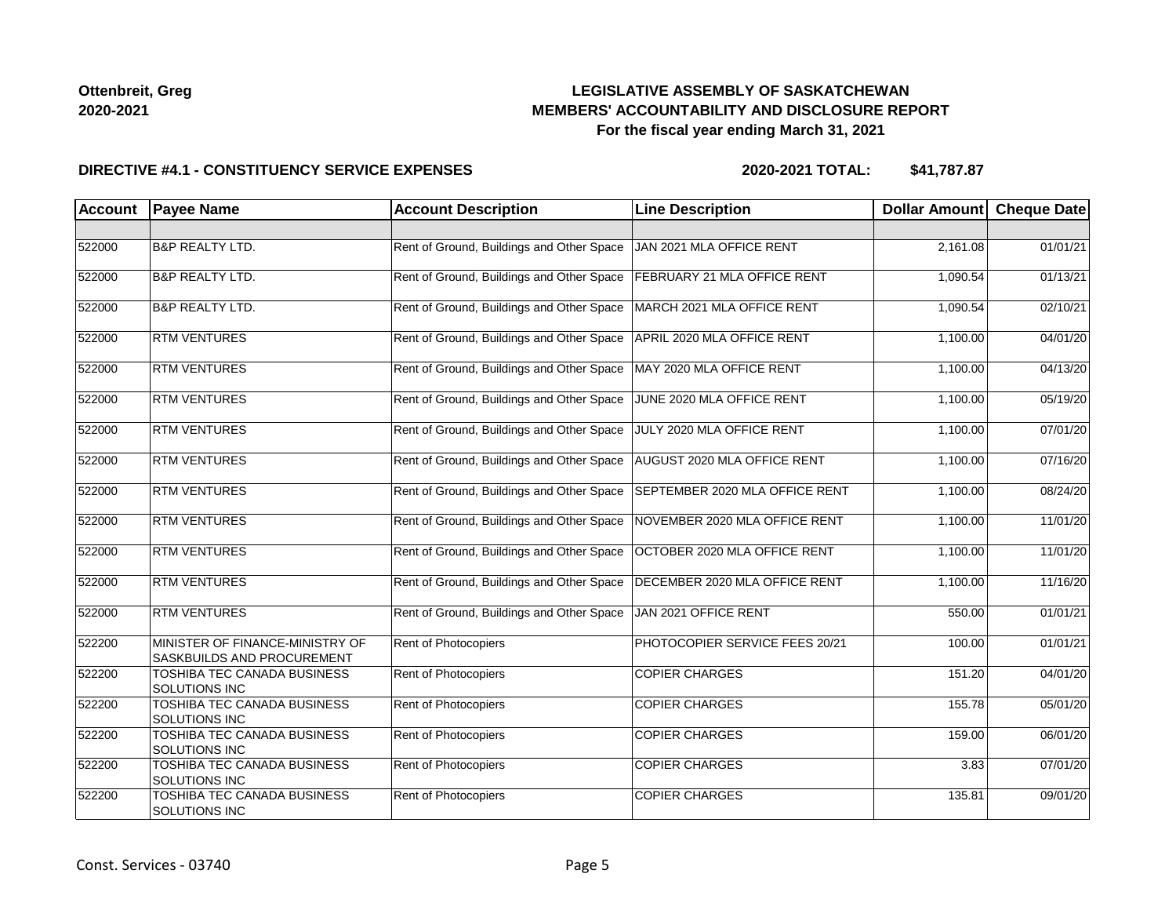## **LEGISLATIVE ASSEMBLY OF SASKATCHEWAN MEMBERS' ACCOUNTABILITY AND DISCLOSURE REPORT For the fiscal year ending March 31, 2021**

### **DIRECTIVE #4.1 - CONSTITUENCY SERVICE EXPENSES**

| <b>Account</b> | <b>Payee Name</b>                                                    | <b>Account Description</b>                | <b>Line Description</b>        | Dollar Amount | <b>Cheque Date</b> |
|----------------|----------------------------------------------------------------------|-------------------------------------------|--------------------------------|---------------|--------------------|
|                |                                                                      |                                           |                                |               |                    |
| 522000         | <b>B&amp;P REALTY LTD.</b>                                           | Rent of Ground, Buildings and Other Space | JAN 2021 MLA OFFICE RENT       | 2,161.08      | 01/01/21           |
| 522000         | <b>B&amp;P REALTY LTD.</b>                                           | Rent of Ground, Buildings and Other Space | FEBRUARY 21 MLA OFFICE RENT    | 1,090.54      | 01/13/21           |
| 522000         | <b>B&amp;P REALTY LTD.</b>                                           | Rent of Ground, Buildings and Other Space | MARCH 2021 MLA OFFICE RENT     | 1,090.54      | 02/10/21           |
| 522000         | <b>RTM VENTURES</b>                                                  | Rent of Ground, Buildings and Other Space | APRIL 2020 MLA OFFICE RENT     | 1,100.00      | 04/01/20           |
| 522000         | <b>RTM VENTURES</b>                                                  | Rent of Ground, Buildings and Other Space | MAY 2020 MLA OFFICE RENT       | 1,100.00      | 04/13/20           |
| 522000         | <b>RTM VENTURES</b>                                                  | Rent of Ground, Buildings and Other Space | JUNE 2020 MLA OFFICE RENT      | 1,100.00      | 05/19/20           |
| 522000         | <b>RTM VENTURES</b>                                                  | Rent of Ground, Buildings and Other Space | JULY 2020 MLA OFFICE RENT      | 1,100.00      | 07/01/20           |
| 522000         | <b>RTM VENTURES</b>                                                  | Rent of Ground, Buildings and Other Space | AUGUST 2020 MLA OFFICE RENT    | 1,100.00      | 07/16/20           |
| 522000         | <b>RTM VENTURES</b>                                                  | Rent of Ground, Buildings and Other Space | SEPTEMBER 2020 MLA OFFICE RENT | 1,100.00      | 08/24/20           |
| 522000         | <b>RTM VENTURES</b>                                                  | Rent of Ground, Buildings and Other Space | NOVEMBER 2020 MLA OFFICE RENT  | 1,100.00      | 11/01/20           |
| 522000         | <b>RTM VENTURES</b>                                                  | Rent of Ground, Buildings and Other Space | OCTOBER 2020 MLA OFFICE RENT   | 1,100.00      | 11/01/20           |
| 522000         | <b>RTM VENTURES</b>                                                  | Rent of Ground, Buildings and Other Space | DECEMBER 2020 MLA OFFICE RENT  | 1,100.00      | 11/16/20           |
| 522000         | <b>RTM VENTURES</b>                                                  | Rent of Ground, Buildings and Other Space | JAN 2021 OFFICE RENT           | 550.00        | 01/01/21           |
| 522200         | MINISTER OF FINANCE-MINISTRY OF<br><b>SASKBUILDS AND PROCUREMENT</b> | Rent of Photocopiers                      | PHOTOCOPIER SERVICE FEES 20/21 | 100.00        | 01/01/21           |
| 522200         | <b>TOSHIBA TEC CANADA BUSINESS</b><br>SOLUTIONS INC                  | Rent of Photocopiers                      | <b>COPIER CHARGES</b>          | 151.20        | 04/01/20           |
| 522200         | TOSHIBA TEC CANADA BUSINESS<br><b>SOLUTIONS INC</b>                  | Rent of Photocopiers                      | <b>COPIER CHARGES</b>          | 155.78        | 05/01/20           |
| 522200         | TOSHIBA TEC CANADA BUSINESS<br><b>SOLUTIONS INC</b>                  | Rent of Photocopiers                      | <b>COPIER CHARGES</b>          | 159.00        | 06/01/20           |
| 522200         | TOSHIBA TEC CANADA BUSINESS<br>SOLUTIONS INC                         | Rent of Photocopiers                      | <b>COPIER CHARGES</b>          | 3.83          | 07/01/20           |
| 522200         | TOSHIBA TEC CANADA BUSINESS<br><b>SOLUTIONS INC</b>                  | Rent of Photocopiers                      | <b>COPIER CHARGES</b>          | 135.81        | 09/01/20           |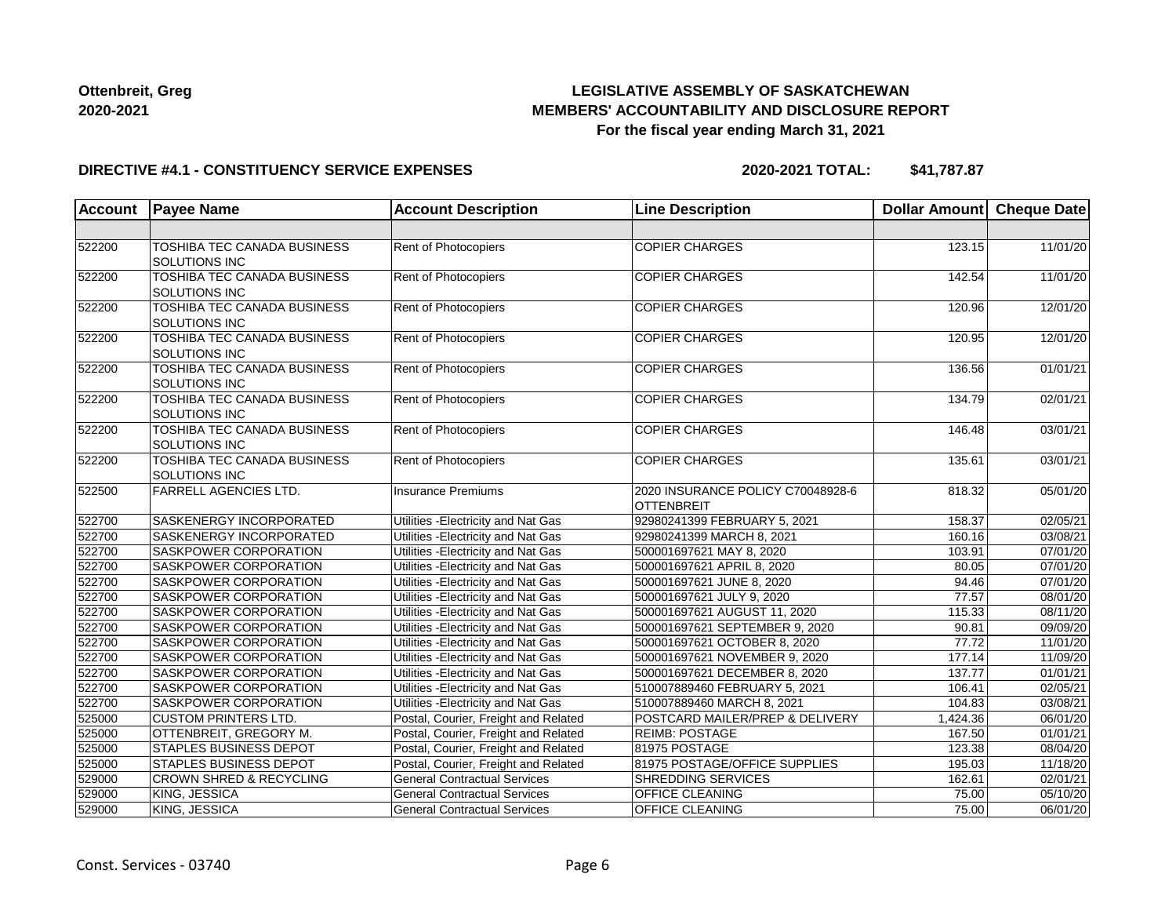## **LEGISLATIVE ASSEMBLY OF SASKATCHEWAN MEMBERS' ACCOUNTABILITY AND DISCLOSURE REPORT For the fiscal year ending March 31, 2021**

### **DIRECTIVE #4.1 - CONSTITUENCY SERVICE EXPENSES**

| <b>Account</b> | <b>Payee Name</b>                                          | <b>Account Description</b>           | <b>Line Description</b>                                | Dollar Amount Cheque Date |                       |
|----------------|------------------------------------------------------------|--------------------------------------|--------------------------------------------------------|---------------------------|-----------------------|
|                |                                                            |                                      |                                                        |                           |                       |
| 522200         | TOSHIBA TEC CANADA BUSINESS<br>SOLUTIONS INC               | Rent of Photocopiers                 | <b>COPIER CHARGES</b>                                  | 123.15                    | 11/01/20              |
| 522200         | <b>TOSHIBA TEC CANADA BUSINESS</b><br><b>SOLUTIONS INC</b> | Rent of Photocopiers                 | <b>COPIER CHARGES</b>                                  | 142.54                    | 11/01/20              |
| 522200         | <b>TOSHIBA TEC CANADA BUSINESS</b><br>SOLUTIONS INC        | Rent of Photocopiers                 | <b>COPIER CHARGES</b>                                  | 120.96                    | 12/01/20              |
| 522200         | TOSHIBA TEC CANADA BUSINESS<br>SOLUTIONS INC               | Rent of Photocopiers                 | <b>COPIER CHARGES</b>                                  | 120.95                    | 12/01/20              |
| 522200         | <b>TOSHIBA TEC CANADA BUSINESS</b><br><b>SOLUTIONS INC</b> | Rent of Photocopiers                 | <b>COPIER CHARGES</b>                                  | 136.56                    | 01/01/21              |
| 522200         | TOSHIBA TEC CANADA BUSINESS<br><b>SOLUTIONS INC</b>        | <b>Rent of Photocopiers</b>          | <b>COPIER CHARGES</b>                                  | 134.79                    | 02/01/21              |
| 522200         | TOSHIBA TEC CANADA BUSINESS<br>SOLUTIONS INC               | Rent of Photocopiers                 | <b>COPIER CHARGES</b>                                  | 146.48                    | 03/01/21              |
| 522200         | TOSHIBA TEC CANADA BUSINESS<br><b>SOLUTIONS INC</b>        | Rent of Photocopiers                 | <b>COPIER CHARGES</b>                                  | 135.61                    | 03/01/21              |
| 522500         | <b>FARRELL AGENCIES LTD.</b>                               | <b>Insurance Premiums</b>            | 2020 INSURANCE POLICY C70048928-6<br><b>OTTENBREIT</b> | 818.32                    | 05/01/20              |
| 522700         | <b>SASKENERGY INCORPORATED</b>                             | Utilities - Electricity and Nat Gas  | 92980241399 FEBRUARY 5, 2021                           | 158.37                    | $\overline{02/05/21}$ |
| 522700         | SASKENERGY INCORPORATED                                    | Utilities - Electricity and Nat Gas  | 92980241399 MARCH 8, 2021                              | 160.16                    | 03/08/21              |
| 522700         | SASKPOWER CORPORATION                                      | Utilities - Electricity and Nat Gas  | 500001697621 MAY 8, 2020                               | 103.91                    | 07/01/20              |
| 522700         | <b>SASKPOWER CORPORATION</b>                               | Utilities - Electricity and Nat Gas  | 500001697621 APRIL 8, 2020                             | 80.05                     | 07/01/20              |
| 522700         | SASKPOWER CORPORATION                                      | Utilities - Electricity and Nat Gas  | 500001697621 JUNE 8, 2020                              | 94.46                     | $\overline{07/01/20}$ |
| 522700         | SASKPOWER CORPORATION                                      | Utilities - Electricity and Nat Gas  | 500001697621 JULY 9, 2020                              | 77.57                     | 08/01/20              |
| 522700         | SASKPOWER CORPORATION                                      | Utilities - Electricity and Nat Gas  | 500001697621 AUGUST 11, 2020                           | 115.33                    | 08/11/20              |
| 522700         | SASKPOWER CORPORATION                                      | Utilities - Electricity and Nat Gas  | 500001697621 SEPTEMBER 9, 2020                         | 90.81                     | 09/09/20              |
| 522700         | <b>SASKPOWER CORPORATION</b>                               | Utilities - Electricity and Nat Gas  | 500001697621 OCTOBER 8, 2020                           | 77.72                     | 11/01/20              |
| 522700         | <b>SASKPOWER CORPORATION</b>                               | Utilities - Electricity and Nat Gas  | 500001697621 NOVEMBER 9, 2020                          | 177.14                    | 11/09/20              |
| 522700         | SASKPOWER CORPORATION                                      | Utilities - Electricity and Nat Gas  | 500001697621 DECEMBER 8, 2020                          | 137.77                    | 01/01/21              |
| 522700         | SASKPOWER CORPORATION                                      | Utilities - Electricity and Nat Gas  | 510007889460 FEBRUARY 5, 2021                          | 106.41                    | 02/05/21              |
| 522700         | SASKPOWER CORPORATION                                      | Utilities - Electricity and Nat Gas  | 510007889460 MARCH 8, 2021                             | 104.83                    | 03/08/21              |
| 525000         | <b>CUSTOM PRINTERS LTD.</b>                                | Postal, Courier, Freight and Related | POSTCARD MAILER/PREP & DELIVERY                        | 1,424.36                  | 06/01/20              |
| 525000         | OTTENBREIT, GREGORY M.                                     | Postal, Courier, Freight and Related | <b>REIMB: POSTAGE</b>                                  | 167.50                    | 01/01/21              |
| 525000         | <b>STAPLES BUSINESS DEPOT</b>                              | Postal, Courier, Freight and Related | 81975 POSTAGE                                          | 123.38                    | 08/04/20              |
| 525000         | <b>STAPLES BUSINESS DEPOT</b>                              | Postal, Courier, Freight and Related | 81975 POSTAGE/OFFICE SUPPLIES                          | 195.03                    | 11/18/20              |
| 529000         | <b>CROWN SHRED &amp; RECYCLING</b>                         | <b>General Contractual Services</b>  | <b>SHREDDING SERVICES</b>                              | 162.61                    | 02/01/21              |
| 529000         | KING, JESSICA                                              | <b>General Contractual Services</b>  | OFFICE CLEANING                                        | 75.00                     | 05/10/20              |
| 529000         | KING, JESSICA                                              | <b>General Contractual Services</b>  | <b>OFFICE CLEANING</b>                                 | 75.00                     | 06/01/20              |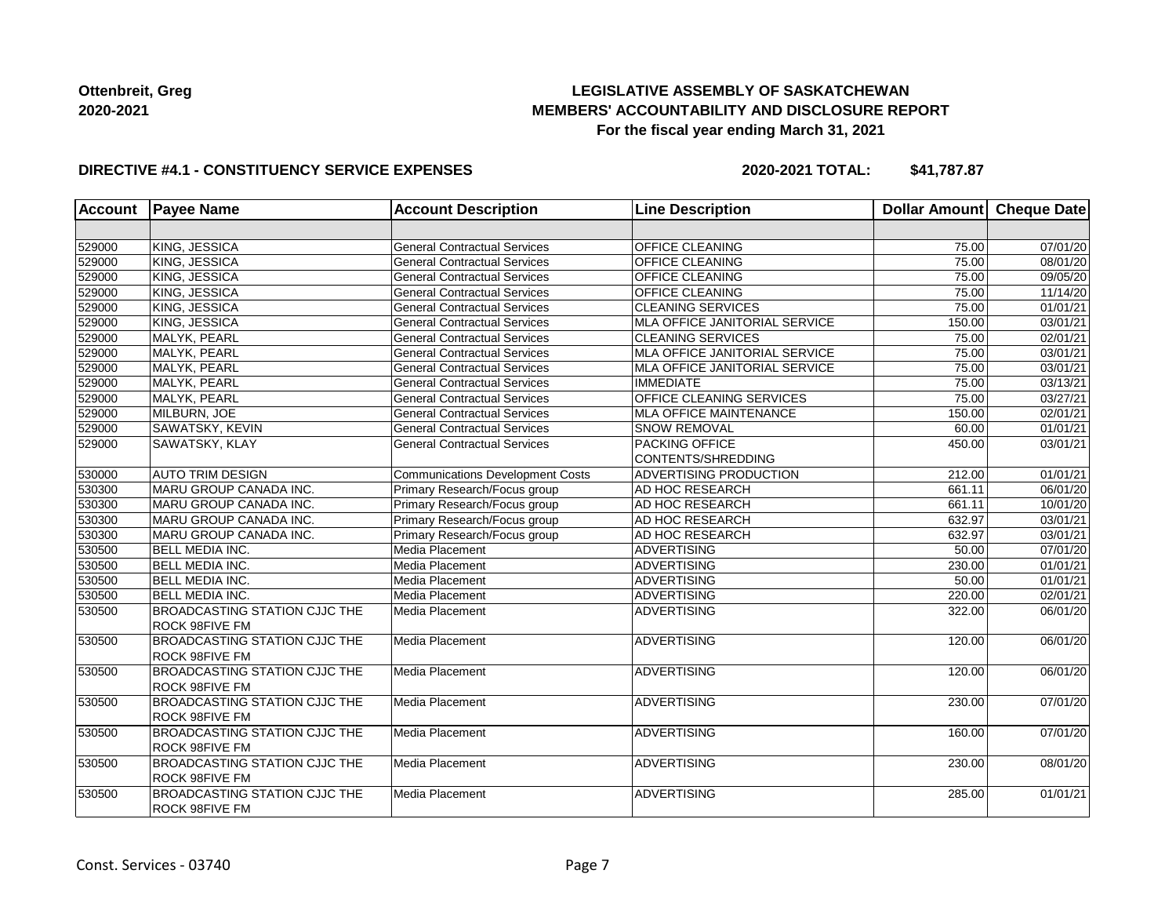## **LEGISLATIVE ASSEMBLY OF SASKATCHEWAN MEMBERS' ACCOUNTABILITY AND DISCLOSURE REPORT For the fiscal year ending March 31, 2021**

### **DIRECTIVE #4.1 - CONSTITUENCY SERVICE EXPENSES**

| <b>Account</b> | <b>Payee Name</b>                                             | <b>Account Description</b>              | <b>Line Description</b>       | Dollar Amount Cheque Date |                       |
|----------------|---------------------------------------------------------------|-----------------------------------------|-------------------------------|---------------------------|-----------------------|
|                |                                                               |                                         |                               |                           |                       |
| 529000         | KING, JESSICA                                                 | <b>General Contractual Services</b>     | OFFICE CLEANING               | 75.00                     | 07/01/20              |
| 529000         | KING, JESSICA                                                 | <b>General Contractual Services</b>     | <b>OFFICE CLEANING</b>        | 75.00                     | 08/01/20              |
| 529000         | KING, JESSICA                                                 | <b>General Contractual Services</b>     | <b>OFFICE CLEANING</b>        | 75.00                     | 09/05/20              |
| 529000         | KING, JESSICA                                                 | <b>General Contractual Services</b>     | OFFICE CLEANING               | 75.00                     | 11/14/20              |
| 529000         | KING, JESSICA                                                 | <b>General Contractual Services</b>     | <b>CLEANING SERVICES</b>      | 75.00                     | 01/01/21              |
| 529000         | KING, JESSICA                                                 | <b>General Contractual Services</b>     | MLA OFFICE JANITORIAL SERVICE | 150.00                    | 03/01/21              |
| 529000         | MALYK, PEARL                                                  | <b>General Contractual Services</b>     | <b>CLEANING SERVICES</b>      | 75.00                     | 02/01/21              |
| 529000         | MALYK, PEARL                                                  | <b>General Contractual Services</b>     | MLA OFFICE JANITORIAL SERVICE | 75.00                     | 03/01/21              |
| 529000         | MALYK, PEARL                                                  | <b>General Contractual Services</b>     | MLA OFFICE JANITORIAL SERVICE | 75.00                     | 03/01/21              |
| 529000         | MALYK, PEARL                                                  | <b>General Contractual Services</b>     | <b>IMMEDIATE</b>              | 75.00                     | 03/13/21              |
| 529000         | MALYK, PEARL                                                  | <b>General Contractual Services</b>     | OFFICE CLEANING SERVICES      | 75.00                     | 03/27/21              |
| 529000         | MILBURN, JOE                                                  | <b>General Contractual Services</b>     | <b>MLA OFFICE MAINTENANCE</b> | 150.00                    | 02/01/21              |
| 529000         | SAWATSKY, KEVIN                                               | <b>General Contractual Services</b>     | SNOW REMOVAL                  | 60.00                     | 01/01/21              |
| 529000         | SAWATSKY, KLAY                                                | <b>General Contractual Services</b>     | PACKING OFFICE                | 450.00                    | 03/01/21              |
|                |                                                               |                                         | CONTENTS/SHREDDING            |                           |                       |
| 530000         | <b>AUTO TRIM DESIGN</b>                                       | <b>Communications Development Costs</b> | ADVERTISING PRODUCTION        | 212.00                    | 01/01/21              |
| 530300         | MARU GROUP CANADA INC.                                        | Primary Research/Focus group            | AD HOC RESEARCH               | 661.11                    | 06/01/20              |
| 530300         | MARU GROUP CANADA INC.                                        | Primary Research/Focus group            | AD HOC RESEARCH               | 661.11                    | 10/01/20              |
| 530300         | MARU GROUP CANADA INC.                                        | Primary Research/Focus group            | AD HOC RESEARCH               | 632.97                    | 03/01/21              |
| 530300         | <b>MARU GROUP CANADA INC.</b>                                 | Primary Research/Focus group            | AD HOC RESEARCH               | 632.97                    | 03/01/21              |
| 530500         | <b>BELL MEDIA INC.</b>                                        | Media Placement                         | <b>ADVERTISING</b>            | 50.00                     | 07/01/20              |
| 530500         | <b>BELL MEDIA INC.</b>                                        | Media Placement                         | <b>ADVERTISING</b>            | 230.00                    | 01/01/21              |
| 530500         | <b>BELL MEDIA INC.</b>                                        | Media Placement                         | <b>ADVERTISING</b>            | 50.00                     | 01/01/21              |
| 530500         | <b>BELL MEDIA INC.</b>                                        | Media Placement                         | <b>ADVERTISING</b>            | 220.00                    | $\overline{02/0}1/21$ |
| 530500         | <b>BROADCASTING STATION CJJC THE</b>                          | Media Placement                         | ADVERTISING                   | 322.00                    | 06/01/20              |
|                | <b>ROCK 98FIVE FM</b>                                         |                                         |                               |                           |                       |
| 530500         | <b>BROADCASTING STATION CJJC THE</b>                          | Media Placement                         | ADVERTISING                   | 120.00                    | 06/01/20              |
|                | <b>ROCK 98FIVE FM</b>                                         |                                         |                               |                           |                       |
| 530500         | <b>BROADCASTING STATION CJJC THE</b><br><b>ROCK 98FIVE FM</b> | Media Placement                         | <b>ADVERTISING</b>            | 120.00                    | 06/01/20              |
| 530500         | <b>BROADCASTING STATION CJJC THE</b>                          | Media Placement                         | ADVERTISING                   | 230.00                    | 07/01/20              |
|                | ROCK 98FIVE FM                                                |                                         |                               |                           |                       |
| 530500         | <b>BROADCASTING STATION CJJC THE</b>                          | Media Placement                         | ADVERTISING                   | 160.00                    | 07/01/20              |
|                | <b>ROCK 98FIVE FM</b>                                         |                                         |                               |                           |                       |
| 530500         | <b>BROADCASTING STATION CJJC THE</b>                          | Media Placement                         | ADVERTISING                   | 230.00                    | 08/01/20              |
|                | <b>ROCK 98FIVE FM</b>                                         |                                         |                               |                           |                       |
| 530500         | <b>BROADCASTING STATION CJJC THE</b>                          | Media Placement                         | ADVERTISING                   | 285.00                    | 01/01/21              |
|                | <b>ROCK 98FIVE FM</b>                                         |                                         |                               |                           |                       |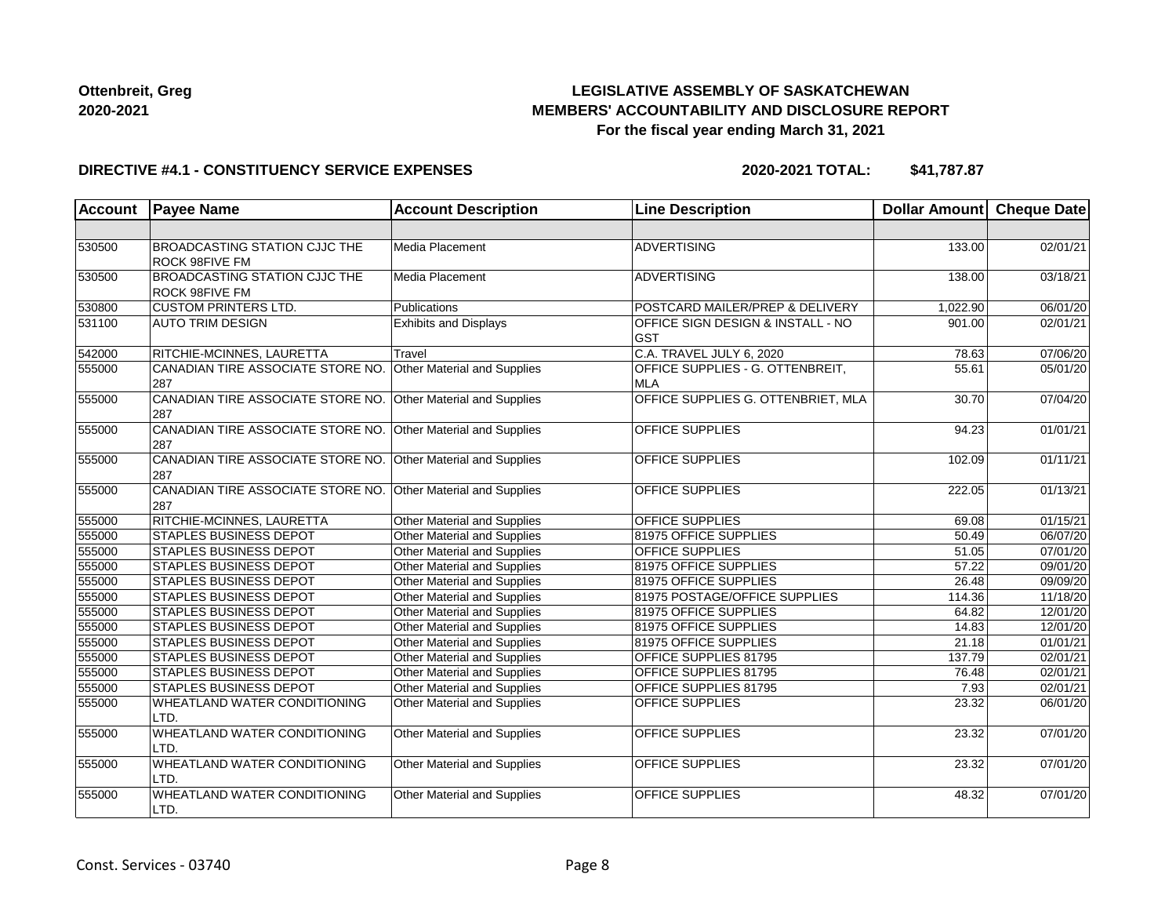## **LEGISLATIVE ASSEMBLY OF SASKATCHEWAN MEMBERS' ACCOUNTABILITY AND DISCLOSURE REPORT For the fiscal year ending March 31, 2021**

### **DIRECTIVE #4.1 - CONSTITUENCY SERVICE EXPENSES**

| <b>Account</b> | <b>Payee Name</b>                                             | <b>Account Description</b>   | <b>Line Description</b>                                    | Dollar Amount     | <b>Cheque Date</b> |
|----------------|---------------------------------------------------------------|------------------------------|------------------------------------------------------------|-------------------|--------------------|
|                |                                                               |                              |                                                            |                   |                    |
| 530500         | <b>BROADCASTING STATION CJJC THE</b><br><b>ROCK 98FIVE FM</b> | Media Placement              | ADVERTISING                                                | 133.00            | 02/01/21           |
| 530500         | <b>BROADCASTING STATION CJJC THE</b><br><b>ROCK 98FIVE FM</b> | Media Placement              | ADVERTISING                                                | 138.00            | 03/18/21           |
| 530800         | <b>CUSTOM PRINTERS LTD.</b>                                   | Publications                 | POSTCARD MAILER/PREP & DELIVERY                            | 1,022.90          | 06/01/20           |
| 531100         | <b>AUTO TRIM DESIGN</b>                                       | <b>Exhibits and Displays</b> | <b>OFFICE SIGN DESIGN &amp; INSTALL - NO</b><br><b>GST</b> | 901.00            | 02/01/21           |
| 542000         | RITCHIE-MCINNES, LAURETTA                                     | Travel                       | C.A. TRAVEL JULY 6, 2020                                   | 78.63             | 07/06/20           |
| 555000         | CANADIAN TIRE ASSOCIATE STORE NO.<br>287                      | Other Material and Supplies  | OFFICE SUPPLIES - G. OTTENBREIT,<br><b>MLA</b>             | 55.61             | 05/01/20           |
| 555000         | CANADIAN TIRE ASSOCIATE STORE NO.<br>287                      | Other Material and Supplies  | OFFICE SUPPLIES G. OTTENBRIET, MLA                         | 30.70             | 07/04/20           |
| 555000         | CANADIAN TIRE ASSOCIATE STORE NO.<br>287                      | Other Material and Supplies  | OFFICE SUPPLIES                                            | 94.23             | 01/01/21           |
| 555000         | CANADIAN TIRE ASSOCIATE STORE NO.<br>287                      | Other Material and Supplies  | <b>OFFICE SUPPLIES</b>                                     | 102.09            | 01/11/21           |
| 555000         | CANADIAN TIRE ASSOCIATE STORE NO.<br>287                      | Other Material and Supplies  | <b>OFFICE SUPPLIES</b>                                     | 222.05            | 01/13/21           |
| 555000         | RITCHIE-MCINNES, LAURETTA                                     | Other Material and Supplies  | OFFICE SUPPLIES                                            | 69.08             | 01/15/21           |
| 555000         | <b>STAPLES BUSINESS DEPOT</b>                                 | Other Material and Supplies  | 81975 OFFICE SUPPLIES                                      | $\frac{1}{50.49}$ | 06/07/20           |
| 555000         | <b>STAPLES BUSINESS DEPOT</b>                                 | Other Material and Supplies  | OFFICE SUPPLIES                                            | 51.05             | 07/01/20           |
| 555000         | <b>STAPLES BUSINESS DEPOT</b>                                 | Other Material and Supplies  | 81975 OFFICE SUPPLIES                                      | 57.22             | 09/01/20           |
| 555000         | <b>STAPLES BUSINESS DEPOT</b>                                 | Other Material and Supplies  | 81975 OFFICE SUPPLIES                                      | 26.48             | 09/09/20           |
| 555000         | <b>STAPLES BUSINESS DEPOT</b>                                 | Other Material and Supplies  | 81975 POSTAGE/OFFICE SUPPLIES                              | 114.36            | 11/18/20           |
| 555000         | STAPLES BUSINESS DEPOT                                        | Other Material and Supplies  | 81975 OFFICE SUPPLIES                                      | 64.82             | 12/01/20           |
| 555000         | <b>STAPLES BUSINESS DEPOT</b>                                 | Other Material and Supplies  | 81975 OFFICE SUPPLIES                                      | 14.83             | 12/01/20           |
| 555000         | <b>STAPLES BUSINESS DEPOT</b>                                 | Other Material and Supplies  | 81975 OFFICE SUPPLIES                                      | 21.18             | 01/01/21           |
| 555000         | <b>STAPLES BUSINESS DEPOT</b>                                 | Other Material and Supplies  | OFFICE SUPPLIES 81795                                      | 137.79            | 02/01/21           |
| 555000         | <b>STAPLES BUSINESS DEPOT</b>                                 | Other Material and Supplies  | <b>OFFICE SUPPLIES 81795</b>                               | 76.48             | 02/01/21           |
| 555000         | <b>STAPLES BUSINESS DEPOT</b>                                 | Other Material and Supplies  | OFFICE SUPPLIES 81795                                      | 7.93              | 02/01/21           |
| 555000         | WHEATLAND WATER CONDITIONING<br>LTD.                          | Other Material and Supplies  | OFFICE SUPPLIES                                            | 23.32             | 06/01/20           |
| 555000         | <b>WHEATLAND WATER CONDITIONING</b><br>LTD.                   | Other Material and Supplies  | OFFICE SUPPLIES                                            | 23.32             | 07/01/20           |
| 555000         | WHEATLAND WATER CONDITIONING<br>LTD.                          | Other Material and Supplies  | <b>OFFICE SUPPLIES</b>                                     | 23.32             | 07/01/20           |
| 555000         | WHEATLAND WATER CONDITIONING<br>LTD.                          | Other Material and Supplies  | <b>OFFICE SUPPLIES</b>                                     | 48.32             | 07/01/20           |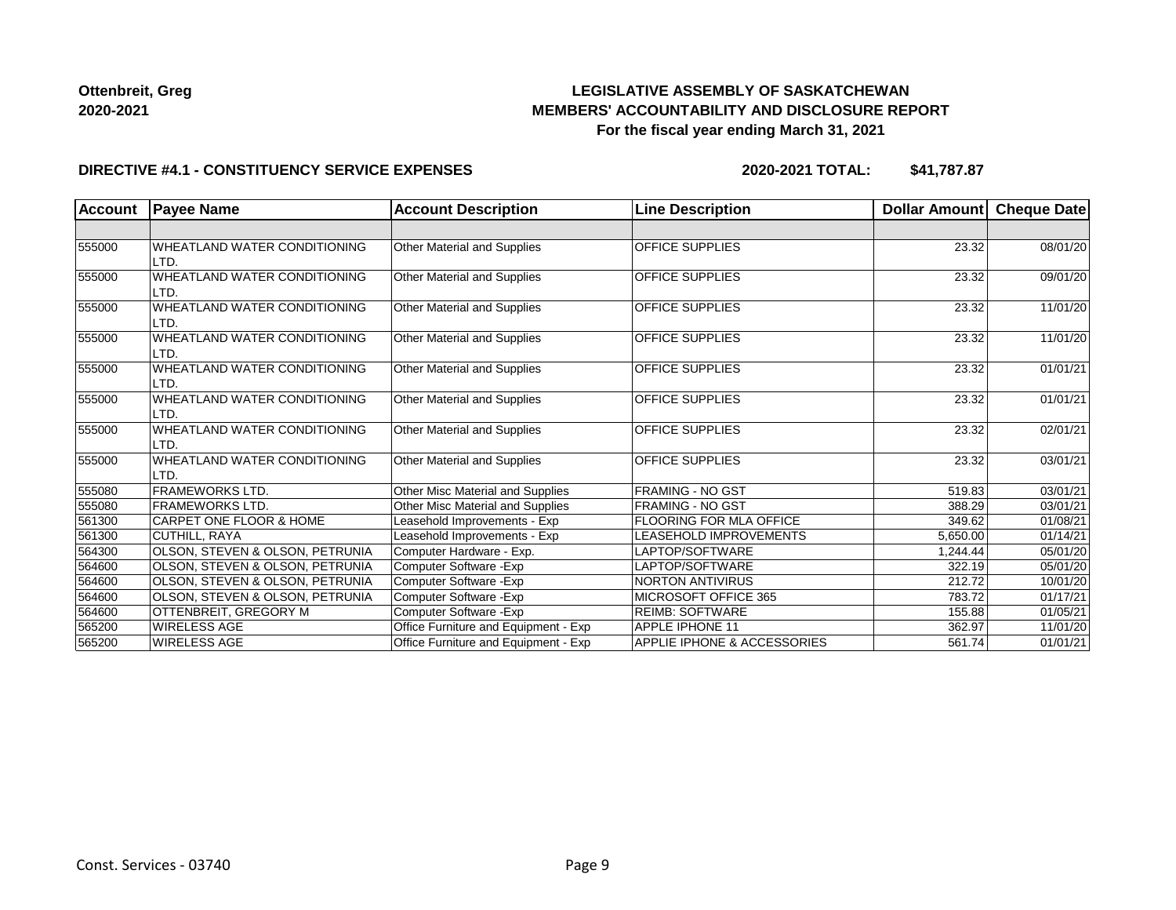## **LEGISLATIVE ASSEMBLY OF SASKATCHEWAN MEMBERS' ACCOUNTABILITY AND DISCLOSURE REPORT For the fiscal year ending March 31, 2021**

### **DIRECTIVE #4.1 - CONSTITUENCY SERVICE EXPENSES**

| <b>Account</b> | <b>Payee Name</b>                           | <b>Account Description</b>           | <b>Line Description</b>     | <b>Dollar Amount</b> | Cheque Date |
|----------------|---------------------------------------------|--------------------------------------|-----------------------------|----------------------|-------------|
|                |                                             |                                      |                             |                      |             |
| 555000         | <b>WHEATLAND WATER CONDITIONING</b><br>LTD. | Other Material and Supplies          | <b>OFFICE SUPPLIES</b>      | 23.32                | 08/01/20    |
| 555000         | WHEATLAND WATER CONDITIONING<br>LTD.        | Other Material and Supplies          | <b>OFFICE SUPPLIES</b>      | 23.32                | 09/01/20    |
| 555000         | WHEATLAND WATER CONDITIONING<br>LTD.        | Other Material and Supplies          | <b>OFFICE SUPPLIES</b>      | 23.32                | 11/01/20    |
| 555000         | WHEATLAND WATER CONDITIONING<br>LTD.        | Other Material and Supplies          | <b>OFFICE SUPPLIES</b>      | 23.32                | 11/01/20    |
| 555000         | WHEATLAND WATER CONDITIONING<br>LTD.        | Other Material and Supplies          | <b>OFFICE SUPPLIES</b>      | 23.32                | 01/01/21    |
| 555000         | WHEATLAND WATER CONDITIONING<br>LTD.        | Other Material and Supplies          | <b>OFFICE SUPPLIES</b>      | 23.32                | 01/01/21    |
| 555000         | WHEATLAND WATER CONDITIONING<br>LTD.        | <b>Other Material and Supplies</b>   | <b>OFFICE SUPPLIES</b>      | 23.32                | 02/01/21    |
| 555000         | WHEATLAND WATER CONDITIONING<br>LTD.        | Other Material and Supplies          | <b>OFFICE SUPPLIES</b>      | 23.32                | 03/01/21    |
| 555080         | <b>FRAMEWORKS LTD.</b>                      | Other Misc Material and Supplies     | <b>FRAMING - NO GST</b>     | 519.83               | 03/01/21    |
| 555080         | <b>FRAMEWORKS LTD.</b>                      | Other Misc Material and Supplies     | <b>FRAMING - NO GST</b>     | 388.29               | 03/01/21    |
| 561300         | <b>CARPET ONE FLOOR &amp; HOME</b>          | Leasehold Improvements - Exp         | FLOORING FOR MLA OFFICE     | 349.62               | 01/08/21    |
| 561300         | CUTHILL, RAYA                               | Leasehold Improvements - Exp         | LEASEHOLD IMPROVEMENTS      | 5,650.00             | 01/14/21    |
| 564300         | OLSON, STEVEN & OLSON, PETRUNIA             | Computer Hardware - Exp.             | LAPTOP/SOFTWARE             | 1,244.44             | 05/01/20    |
| 564600         | <b>OLSON, STEVEN &amp; OLSON, PETRUNIA</b>  | Computer Software - Exp              | LAPTOP/SOFTWARE             | 322.19               | 05/01/20    |
| 564600         | OLSON, STEVEN & OLSON, PETRUNIA             | Computer Software - Exp              | <b>NORTON ANTIVIRUS</b>     | 212.72               | 10/01/20    |
| 564600         | OLSON, STEVEN & OLSON, PETRUNIA             | Computer Software - Exp              | MICROSOFT OFFICE 365        | 783.72               | 01/17/21    |
| 564600         | OTTENBREIT, GREGORY M                       | Computer Software - Exp              | <b>REIMB: SOFTWARE</b>      | 155.88               | 01/05/21    |
| 565200         | <b>WIRELESS AGE</b>                         | Office Furniture and Equipment - Exp | <b>APPLE IPHONE 11</b>      | 362.97               | 11/01/20    |
| 565200         | <b>WIRELESS AGE</b>                         | Office Furniture and Equipment - Exp | APPLIE IPHONE & ACCESSORIES | 561.74               | 01/01/21    |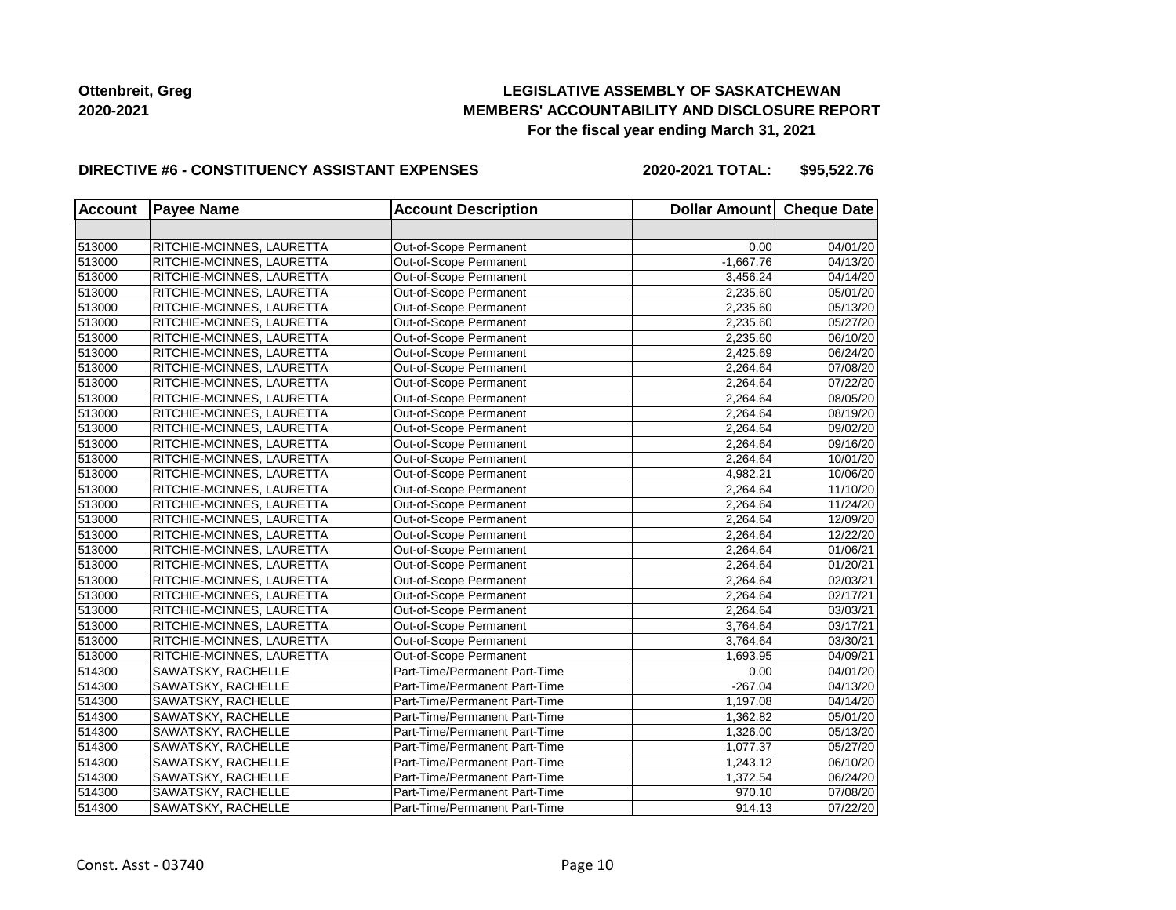## **LEGISLATIVE ASSEMBLY OF SASKATCHEWAN MEMBERS' ACCOUNTABILITY AND DISCLOSURE REPORT For the fiscal year ending March 31, 2021**

### **DIRECTIVE #6 - CONSTITUENCY ASSISTANT EXPENSES**

**2020-2021 TOTAL: \$95,522.76**

| <b>Account</b> | <b>Payee Name</b>         | <b>Account Description</b>    | Dollar Amount Cheque Date |          |
|----------------|---------------------------|-------------------------------|---------------------------|----------|
|                |                           |                               |                           |          |
| 513000         | RITCHIE-MCINNES, LAURETTA | Out-of-Scope Permanent        | 0.00                      | 04/01/20 |
| 513000         | RITCHIE-MCINNES, LAURETTA | Out-of-Scope Permanent        | $-1,667.76$               | 04/13/20 |
| 513000         | RITCHIE-MCINNES, LAURETTA | Out-of-Scope Permanent        | 3,456.24                  | 04/14/20 |
| 513000         | RITCHIE-MCINNES, LAURETTA | Out-of-Scope Permanent        | 2,235.60                  | 05/01/20 |
| 513000         | RITCHIE-MCINNES, LAURETTA | Out-of-Scope Permanent        | 2,235.60                  | 05/13/20 |
| 513000         | RITCHIE-MCINNES, LAURETTA | Out-of-Scope Permanent        | 2,235.60                  | 05/27/20 |
| 513000         | RITCHIE-MCINNES, LAURETTA | Out-of-Scope Permanent        | 2,235.60                  | 06/10/20 |
| 513000         | RITCHIE-MCINNES, LAURETTA | Out-of-Scope Permanent        | 2,425.69                  | 06/24/20 |
| 513000         | RITCHIE-MCINNES, LAURETTA | Out-of-Scope Permanent        | 2,264.64                  | 07/08/20 |
| 513000         | RITCHIE-MCINNES, LAURETTA | Out-of-Scope Permanent        | 2,264.64                  | 07/22/20 |
| 513000         | RITCHIE-MCINNES, LAURETTA | Out-of-Scope Permanent        | 2,264.64                  | 08/05/20 |
| 513000         | RITCHIE-MCINNES, LAURETTA | Out-of-Scope Permanent        | 2,264.64                  | 08/19/20 |
| 513000         | RITCHIE-MCINNES, LAURETTA | Out-of-Scope Permanent        | 2,264.64                  | 09/02/20 |
| 513000         | RITCHIE-MCINNES, LAURETTA | Out-of-Scope Permanent        | 2,264.64                  | 09/16/20 |
| 513000         | RITCHIE-MCINNES, LAURETTA | Out-of-Scope Permanent        | 2,264.64                  | 10/01/20 |
| 513000         | RITCHIE-MCINNES, LAURETTA | Out-of-Scope Permanent        | 4,982.21                  | 10/06/20 |
| 513000         | RITCHIE-MCINNES, LAURETTA | Out-of-Scope Permanent        | 2,264.64                  | 11/10/20 |
| 513000         | RITCHIE-MCINNES, LAURETTA | Out-of-Scope Permanent        | 2,264.64                  | 11/24/20 |
| 513000         | RITCHIE-MCINNES, LAURETTA | Out-of-Scope Permanent        | 2,264.64                  | 12/09/20 |
| 513000         | RITCHIE-MCINNES, LAURETTA | Out-of-Scope Permanent        | 2,264.64                  | 12/22/20 |
| 513000         | RITCHIE-MCINNES, LAURETTA | Out-of-Scope Permanent        | 2,264.64                  | 01/06/21 |
| 513000         | RITCHIE-MCINNES, LAURETTA | Out-of-Scope Permanent        | 2,264.64                  | 01/20/21 |
| 513000         | RITCHIE-MCINNES, LAURETTA | Out-of-Scope Permanent        | 2,264.64                  | 02/03/21 |
| 513000         | RITCHIE-MCINNES, LAURETTA | Out-of-Scope Permanent        | 2,264.64                  | 02/17/21 |
| 513000         | RITCHIE-MCINNES, LAURETTA | Out-of-Scope Permanent        | 2,264.64                  | 03/03/21 |
| 513000         | RITCHIE-MCINNES, LAURETTA | Out-of-Scope Permanent        | 3,764.64                  | 03/17/21 |
| 513000         | RITCHIE-MCINNES, LAURETTA | Out-of-Scope Permanent        | 3,764.64                  | 03/30/21 |
| 513000         | RITCHIE-MCINNES, LAURETTA | Out-of-Scope Permanent        | 1,693.95                  | 04/09/21 |
| 514300         | SAWATSKY, RACHELLE        | Part-Time/Permanent Part-Time | 0.00                      | 04/01/20 |
| 514300         | SAWATSKY, RACHELLE        | Part-Time/Permanent Part-Time | $-267.04$                 | 04/13/20 |
| 514300         | SAWATSKY, RACHELLE        | Part-Time/Permanent Part-Time | 1,197.08                  | 04/14/20 |
| 514300         | SAWATSKY, RACHELLE        | Part-Time/Permanent Part-Time | 1,362.82                  | 05/01/20 |
| 514300         | SAWATSKY, RACHELLE        | Part-Time/Permanent Part-Time | 1,326.00                  | 05/13/20 |
| 514300         | SAWATSKY, RACHELLE        | Part-Time/Permanent Part-Time | 1,077.37                  | 05/27/20 |
| 514300         | SAWATSKY, RACHELLE        | Part-Time/Permanent Part-Time | 1,243.12                  | 06/10/20 |
| 514300         | SAWATSKY, RACHELLE        | Part-Time/Permanent Part-Time | 1,372.54                  | 06/24/20 |
| 514300         | SAWATSKY, RACHELLE        | Part-Time/Permanent Part-Time | 970.10                    | 07/08/20 |
| 514300         | SAWATSKY, RACHELLE        | Part-Time/Permanent Part-Time | 914.13                    | 07/22/20 |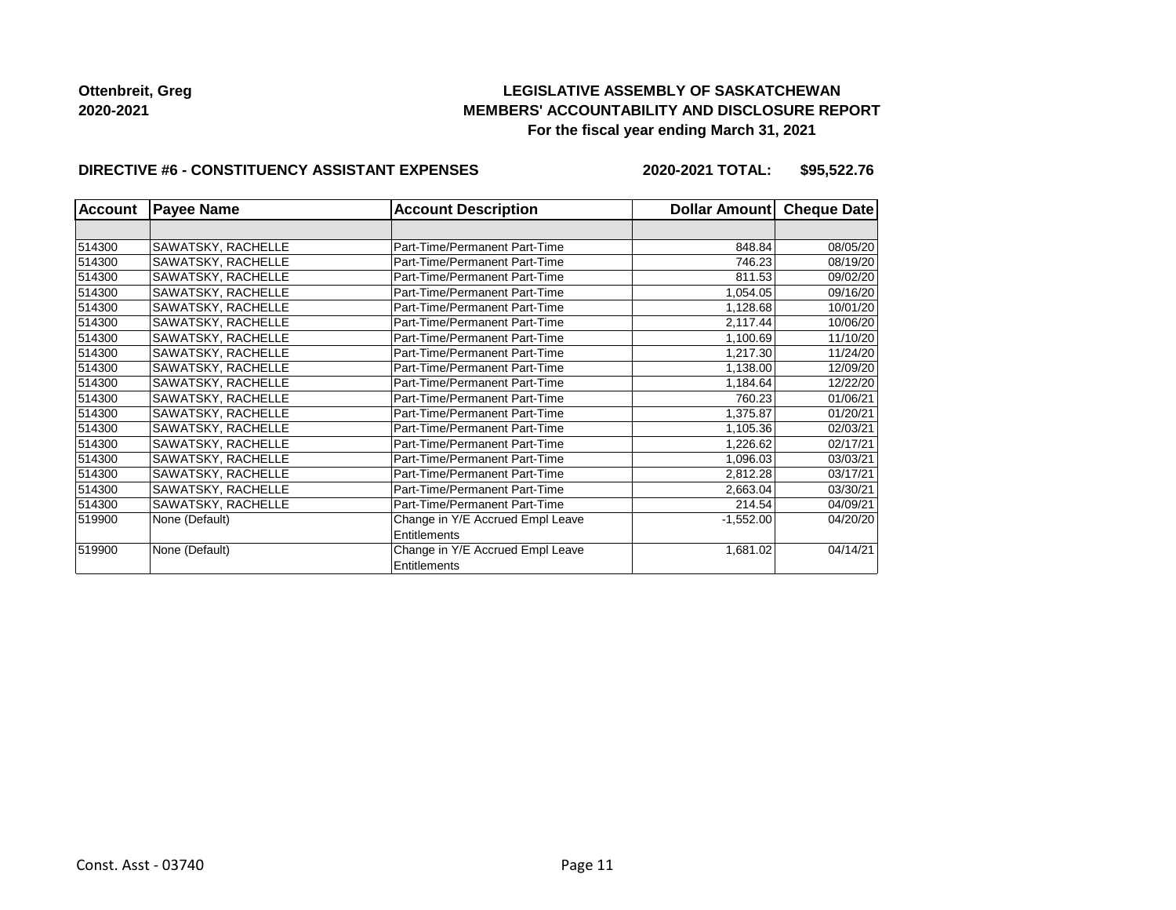## **LEGISLATIVE ASSEMBLY OF SASKATCHEWAN MEMBERS' ACCOUNTABILITY AND DISCLOSURE REPORT For the fiscal year ending March 31, 2021**

### **DIRECTIVE #6 - CONSTITUENCY ASSISTANT EXPENSES**

**2020-2021 TOTAL: \$95,522.76**

| <b>Account</b> | <b>Payee Name</b>  | <b>Account Description</b>                       | Dollar Amount | <b>Cheque Date</b> |
|----------------|--------------------|--------------------------------------------------|---------------|--------------------|
|                |                    |                                                  |               |                    |
| 514300         | SAWATSKY, RACHELLE | Part-Time/Permanent Part-Time                    | 848.84        | 08/05/20           |
| 514300         | SAWATSKY, RACHELLE | Part-Time/Permanent Part-Time                    | 746.23        | 08/19/20           |
| 514300         | SAWATSKY, RACHELLE | Part-Time/Permanent Part-Time                    | 811.53        | 09/02/20           |
| 514300         | SAWATSKY, RACHELLE | Part-Time/Permanent Part-Time                    | 1,054.05      | 09/16/20           |
| 514300         | SAWATSKY, RACHELLE | Part-Time/Permanent Part-Time                    | 1,128.68      | 10/01/20           |
| 514300         | SAWATSKY, RACHELLE | Part-Time/Permanent Part-Time                    | 2,117.44      | 10/06/20           |
| 514300         | SAWATSKY, RACHELLE | Part-Time/Permanent Part-Time                    | 1,100.69      | 11/10/20           |
| 514300         | SAWATSKY, RACHELLE | Part-Time/Permanent Part-Time                    | 1,217.30      | 11/24/20           |
| 514300         | SAWATSKY, RACHELLE | Part-Time/Permanent Part-Time                    | 1,138.00      | 12/09/20           |
| 514300         | SAWATSKY, RACHELLE | Part-Time/Permanent Part-Time                    | 1,184.64      | 12/22/20           |
| 514300         | SAWATSKY, RACHELLE | Part-Time/Permanent Part-Time                    | 760.23        | 01/06/21           |
| 514300         | SAWATSKY, RACHELLE | Part-Time/Permanent Part-Time                    | 1,375.87      | 01/20/21           |
| 514300         | SAWATSKY, RACHELLE | Part-Time/Permanent Part-Time                    | 1,105.36      | 02/03/21           |
| 514300         | SAWATSKY, RACHELLE | Part-Time/Permanent Part-Time                    | 1,226.62      | 02/17/21           |
| 514300         | SAWATSKY, RACHELLE | Part-Time/Permanent Part-Time                    | 1,096.03      | 03/03/21           |
| 514300         | SAWATSKY, RACHELLE | Part-Time/Permanent Part-Time                    | 2,812.28      | 03/17/21           |
| 514300         | SAWATSKY, RACHELLE | Part-Time/Permanent Part-Time                    | 2,663.04      | 03/30/21           |
| 514300         | SAWATSKY, RACHELLE | Part-Time/Permanent Part-Time                    | 214.54        | 04/09/21           |
| 519900         | None (Default)     | Change in Y/E Accrued Empl Leave                 | $-1,552.00$   | 04/20/20           |
|                |                    | Entitlements                                     |               |                    |
| 519900         | None (Default)     | Change in Y/E Accrued Empl Leave<br>Entitlements | 1,681.02      | 04/14/21           |